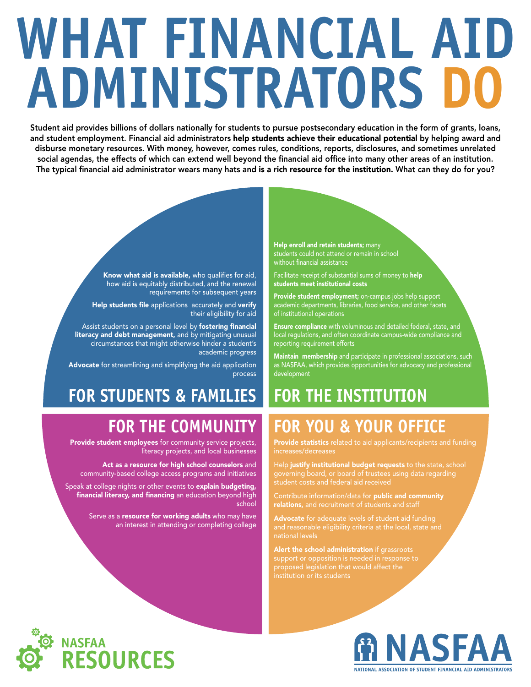# **WHAT FINANCIAL AID ADMINISTRATORS DO**

Student aid provides billions of dollars nationally for students to pursue postsecondary education in the form of grants, loans, and student employment. Financial aid administrators help students achieve their educational potential by helping award and disburse monetary resources. With money, however, comes rules, conditions, reports, disclosures, and sometimes unrelated social agendas, the effects of which can extend well beyond the financial aid office into many other areas of an institution. The typical financial aid administrator wears many hats and is a rich resource for the institution. What can they do for you?

> Know what aid is available, who qualifies for aid, how aid is equitably distributed, and the renewal requirements for subsequent years

Help students file applications accurately and verify their eligibility for aid

Assist students on a personal level by fostering financial literacy and debt management, and by mitigating unusual circumstances that might otherwise hinder a student's academic progress

Advocate for streamlining and simplifying the aid application process

# **FOR STUDENTS & FAMILIES**

### **FOR THE COMMUNITY**

Provide student employees for community service projects, literacy projects, and local businesses

Act as a resource for high school counselors and community-based college access programs and initiatives

Speak at college nights or other events to explain budgeting, financial literacy, and financing an education beyond high school

> Serve as a resource for working adults who may have an interest in attending or completing college

Help enroll and retain students; many students could not attend or remain in school without financial assistance

Facilitate receipt of substantial sums of money to help students meet institutional costs

Provide student employment; on-campus jobs help support academic departments, libraries, food service, and other facets of institutional operations

Ensure compliance with voluminous and detailed federal, state, and local regulations, and often coordinate campus-wide compliance and reporting requirement efforts

Maintain membership and participate in professional associations, such as NASFAA, which provides opportunities for advocacy and professional development

## **FOR THE INSTITUTION**

# **FOR YOU & YOUR OFFICE**

Provide statistics related to aid applicants/recipients and funding increases/decreases

Help justify institutional budget requests to the state, school governing board, or board of trustees using data regarding

Contribute information/data for public and community relations, and recruitment of students and staff

Advocate for adequate levels of student aid funding and reasonable eligibility criteria at the local, state and

Alert the school administration if grassroots support or opposition is needed in response to proposed legislation that would affect the institution or its students